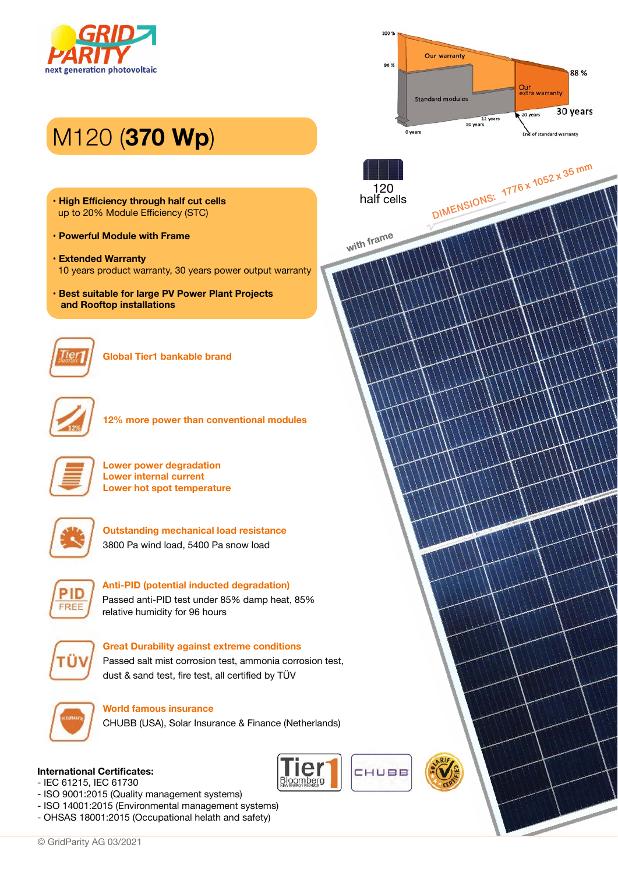

# M120 (**370 Wp**)

- **High Efficiency through half cut cells** up to 20% Module Efficiency (STC)
- **Powerful Module with Frame**
- **Extended Warranty** 10 years product warranty, 30 years power output warranty
- **Best suitable for large PV Power Plant Projects and Rooftop installations**



**Global Tier1 bankable brand**



**12% more power than conventional modules**



**Lower power degradation Lower internal current Lower hot spot temperature**



**Outstanding mechanical load resistance**  3800 Pa wind load, 5400 Pa snow load



**Anti-PID (potential inducted degradation)**  Passed anti-PID test under 85% damp heat, 85%

relative humidity for 96 hours



### **Great Durability against extreme conditions**

Passed salt mist corrosion test, ammonia corrosion test, dust & sand test, fire test, all certified by TÜV



### **World famous insurance**

CHUBB (USA), Solar Insurance & Finance (Netherlands)



- IEC 61215, IEC 61730

- ISO 9001:2015 (Quality management systems)
- ISO 14001:2015 (Environmental management systems)
- OHSAS 18001:2015 (Occupational helath and safety)



**1776 x 1052 x 35 mm DIMENSIONS:**



CHUBB

Bloomberc

**with frame**